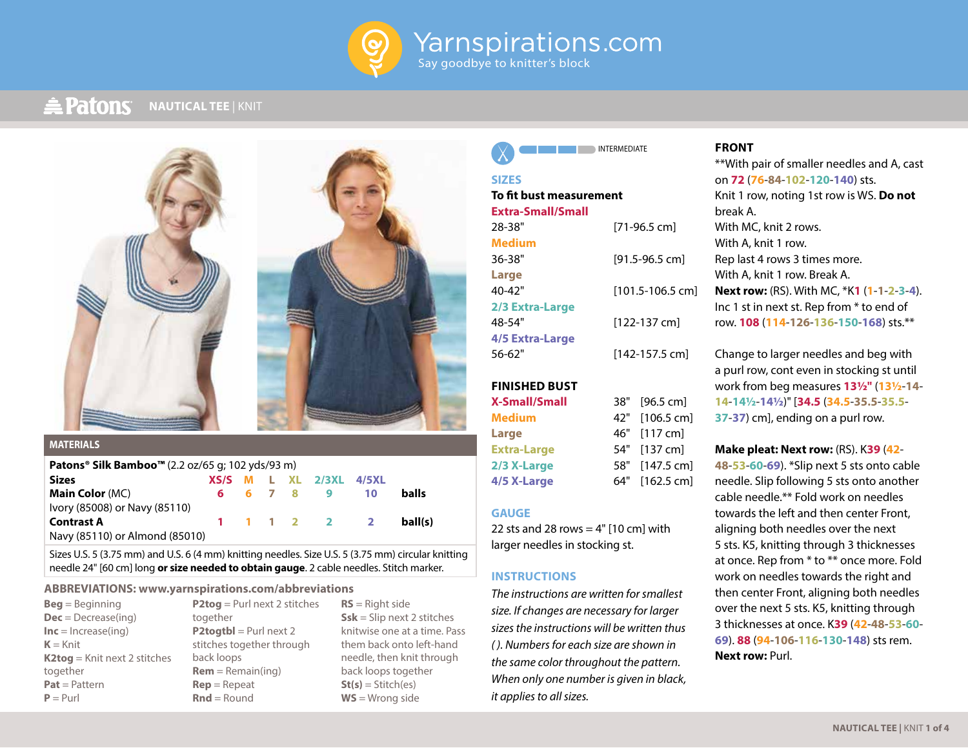

#### **A** Patons **NAUTICAL TEE** | KNIT



### **MATERIALS**

| <b>Patons<sup>®</sup> Silk Bamboo™</b> (2.2 oz/65 g; 102 yds/93 m) |  |  |  |  |                             |    |         |
|--------------------------------------------------------------------|--|--|--|--|-----------------------------|----|---------|
| <b>Sizes</b>                                                       |  |  |  |  | $XS/S$ M L XL $2/3XL$ 4/5XL |    |         |
| <b>Main Color</b> (MC)                                             |  |  |  |  | 6 6 7 8 9                   | 10 | balls   |
| Ivory (85008) or Navy (85110)                                      |  |  |  |  |                             |    |         |
| <b>Contrast A</b>                                                  |  |  |  |  | 1 1 1 2 2 2                 |    | ball(s) |
| Navy (85110) or Almond (85010)                                     |  |  |  |  |                             |    |         |

Sizes U.S. 5 (3.75 mm) and U.S. 6 (4 mm) knitting needles. Size U.S. 5 (3.75 mm) circular knitting needle 24" [60 cm] long **or size needed to obtain gauge**. 2 cable needles. Stitch marker.

#### **ABBREVIATIONS: www.yarnspirations.com/abbreviations**

| $\text{Beq} = \text{Beginning}$     |
|-------------------------------------|
| $Dec = Decrease($ ing)              |
| $Inc = Increase(inq)$               |
| $K = Knit$                          |
| <b>K2tog</b> = Knit next 2 stitches |
| together                            |
| $Pat = Pattern$                     |
| $P = Purl$                          |

**P2tog** = Purl next 2 stitches together **P2togtbl** = Purl next 2 stitches together through back loops **Rem** = Remain(ing) **Rep** = Repeat **Rnd** = Round

**RS** = Right side **Ssk** = Slip next 2 stitches knitwise one at a time. Pass them back onto left-hand needle, then knit through back loops together **St(s)** = Stitch(es) **WS** = Wrong side

**INTERMEDIATE** 

## **SIZES**

# **To fit bust measurement**

| Extra-Small/Small |                  |
|-------------------|------------------|
| 28-38"            | [71-96.5 cm]     |
| <b>Medium</b>     |                  |
| $36 - 38"$        | [91.5-96.5 cm]   |
| Large             |                  |
| $40 - 42"$        | [101.5-106.5 cm] |
| 2/3 Extra-Large   |                  |
| 48-54"            | $[122-137$ cm]   |
| 4/5 Extra-Large   |                  |

56-62" [142-157.5 cm]

**FINISHED BUST**

**X-Small/Small** 38" [96.5 cm] **Medium** 42" [106.5 cm] **Large** 46" [117 cm] **Extra-Large** 54" [137 cm] **2/3 X-Large** 58" [147.5 cm] **4/5 X-Large** 64" [162.5 cm]

#### **GAUGE**

22 sts and 28 rows  $=$  4" [10 cm] with larger needles in stocking st.

## **INSTRUCTIONS**

*The instructions are written for smallest size. If changes are necessary for larger sizes the instructions will be written thus ( ). Numbers for each size are shown in the same color throughout the pattern. When only one number is given in black, it applies to all sizes.*

## **FRONT**

\*\*With pair of smaller needles and A, cast on **72** (**76**-**84**-**102**-**120**-**140**) sts. Knit 1 row, noting 1st row is WS. **Do not** break A. With MC, knit 2 rows. With A, knit 1 row. Rep last 4 rows 3 times more. With A, knit 1 row. Break A. **Next row:** (RS). With MC, \*K**1** (**1**-**1**-**2**-**3**-**4**). Inc 1 st in next st. Rep from \* to end of row. **108** (**114**-**126**-**136**-**150**-**168**) sts.\*\*

Change to larger needles and beg with a purl row, cont even in stocking st until work from beg measures **13½"** (**13½**-**14**- **14**-**14½**-**14½**)" [**34.5** (**34.5**-**35.5**-**35.5**- **37**-**37**) cm], ending on a purl row.

**Make pleat: Next row:** (RS). K**39** (**42**- **48**-**53**-**60**-**69**). \*Slip next 5 sts onto cable needle. Slip following 5 sts onto another cable needle.\*\* Fold work on needles towards the left and then center Front, aligning both needles over the next 5 sts. K5, knitting through 3 thicknesses at once. Rep from \* to \*\* once more. Fold work on needles towards the right and then center Front, aligning both needles over the next 5 sts. K5, knitting through 3 thicknesses at once. K**39** (**42**-**48**-**53**-**60**- **69**). **88** (**94**-**106**-**116**-**130**-**148**) sts rem. **Next row:** Purl.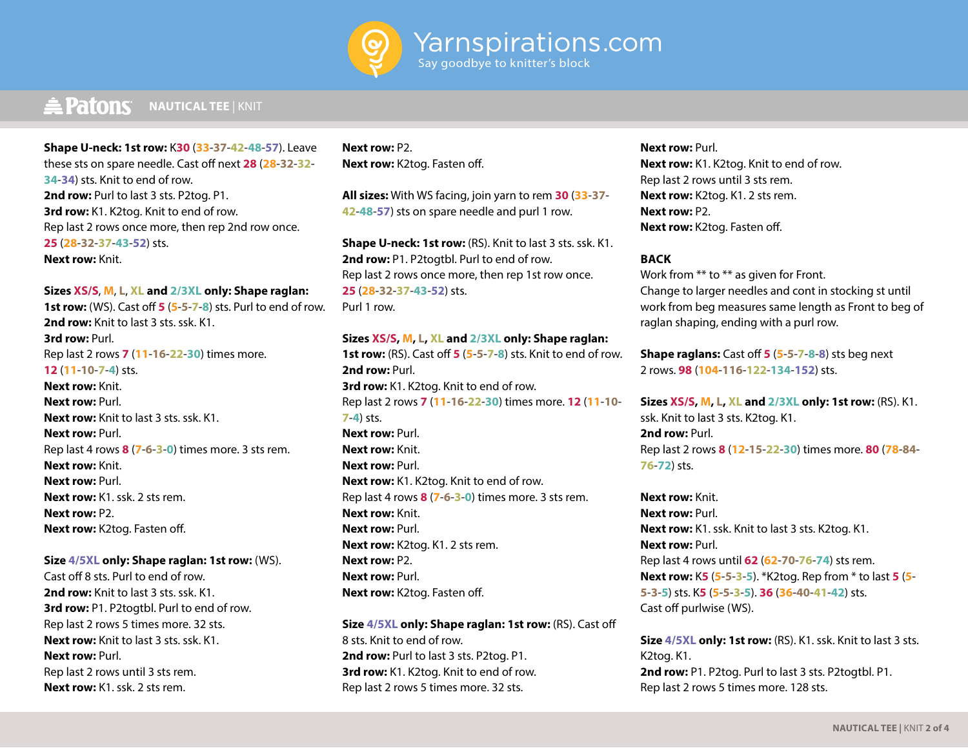

# **E** Patons NAUTICAL TEE | KNIT

**Shape U-neck: 1st row:** K**30** (**33**-**37**-**42**-**48**-**57**). Leave these sts on spare needle. Cast off next **28** (**28**-**32**-**32**- **34**-**34**) sts. Knit to end of row. **2nd row:** Purl to last 3 sts. P2tog. P1. **3rd row:** K1. K2tog. Knit to end of row. Rep last 2 rows once more, then rep 2nd row once. **25** (**28**-**32**-**37**-**43**-**52**) sts. **Next row:** Knit.

### **Sizes XS/S**, **M**, **L**, **XL and 2/3XL only: Shape raglan:**

**1st row:** (WS). Cast off **5** (**5**-**5**-**7**-**8**) sts. Purl to end of row. **2nd row:** Knit to last 3 sts. ssk. K1. **3rd row:** Purl. Rep last 2 rows **7** (**11**-**16**-**22**-**30**) times more. **12** (**11**-**10**-**7**-**4**) sts. **Next row:** Knit. **Next row:** Purl. **Next row:** Knit to last 3 sts. ssk. K1. **Next row:** Purl. Rep last 4 rows **8** (**7**-**6**-**3**-**0**) times more. 3 sts rem. **Next row:** Knit. **Next row:** Purl. **Next row:** K1, ssk. 2 sts rem. **Next row:** P2. **Next row:** K2tog. Fasten off.

#### **Size 4/5XL only: Shape raglan: 1st row:** (WS).

Cast off 8 sts. Purl to end of row. **2nd row:** Knit to last 3 sts. ssk. K1. **3rd row:** P1. P2togtbl. Purl to end of row. Rep last 2 rows 5 times more. 32 sts. **Next row:** Knit to last 3 sts. ssk. K1. **Next row:** Purl. Rep last 2 rows until 3 sts rem. **Next row:** K1, ssk. 2 sts rem.

## **Next row:** P2. **Next row:** K2tog. Fasten off.

**All sizes:** With WS facing, join yarn to rem **30** (**33**-**37**- **42**-**48**-**57**) sts on spare needle and purl 1 row.

**Shape U-neck: 1st row:** (RS). Knit to last 3 sts. ssk. K1. 2nd row: P1. P2togtbl. Purl to end of row. Rep last 2 rows once more, then rep 1st row once. **25** (**28**-**32**-**37**-**43**-**52**) sts. Purl 1 row.

## **Sizes XS/S, M, L, XL and 2/3XL only: Shape raglan:**

**1st row:** (RS). Cast off **5** (**5**-**5**-**7**-**8**) sts. Knit to end of row. **2nd row:** Purl. **3rd row:** K1. K2tog. Knit to end of row. Rep last 2 rows **7** (**11**-**16**-**22**-**30**) times more. **12** (**11**-**10**- **7**-**4**) sts. **Next row:** Purl. **Next row:** Knit. **Next row:** Purl. **Next row:** K1. K2tog. Knit to end of row. Rep last 4 rows **8** (**7**-**6**-**3**-**0**) times more. 3 sts rem. **Next row:** Knit. **Next row:** Purl. **Next row:** K2tog. K1. 2 sts rem. **Next row:** P2. **Next row:** Purl. **Next row:** K2tog. Fasten off.

**Size 4/5XL only: Shape raglan: 1st row:** (RS). Cast off 8 sts. Knit to end of row. **2nd row:** Purl to last 3 sts. P2tog. P1. **3rd row:** K1. K2tog. Knit to end of row. Rep last 2 rows 5 times more. 32 sts.

**Next row:** Purl. **Next row:** K1. K2tog. Knit to end of row. Rep last 2 rows until 3 sts rem. **Next row:** K2tog. K1. 2 sts rem. **Next row:** P2. **Next row:** K2tog. Fasten off.

### **BACK**

Work from \*\* to \*\* as given for Front. Change to larger needles and cont in stocking st until work from beg measures same length as Front to beg of raglan shaping, ending with a purl row.

**Shape raglans:** Cast off **5** (**5**-**5**-**7**-**8**-**8**) sts beg next 2 rows. **98** (**104**-**116**-**122**-**134**-**152**) sts.

**Sizes XS/S, M, L, XL and 2/3XL only: 1st row:** (RS). K1. ssk. Knit to last 3 sts. K2tog. K1. **2nd row:** Purl. Rep last 2 rows **8** (**12**-**15**-**22**-**30**) times more. **80** (**78**-**84**- **76**-**72**) sts.

**Next row:** Knit. **Next row:** Purl. **Next row:** K1. ssk. Knit to last 3 sts. K2tog. K1. **Next row:** Purl. Rep last 4 rows until **62** (**62**-**70**-**76**-**74**) sts rem. **Next row:** K**5** (**5**-**5**-**3**-**5**). \*K2tog. Rep from \* to last **5** (**5**- **5**-**3**-**5**) sts. K**5** (**5**-**5**-**3**-**5**). **36** (**36**-**40**-**41**-**42**) sts. Cast off purlwise (WS).

**Size 4/5XL only: 1st row:** (RS). K1. ssk. Knit to last 3 sts. K2tog. K1. **2nd row:** P1. P2tog. Purl to last 3 sts. P2togtbl. P1. Rep last 2 rows 5 times more. 128 sts.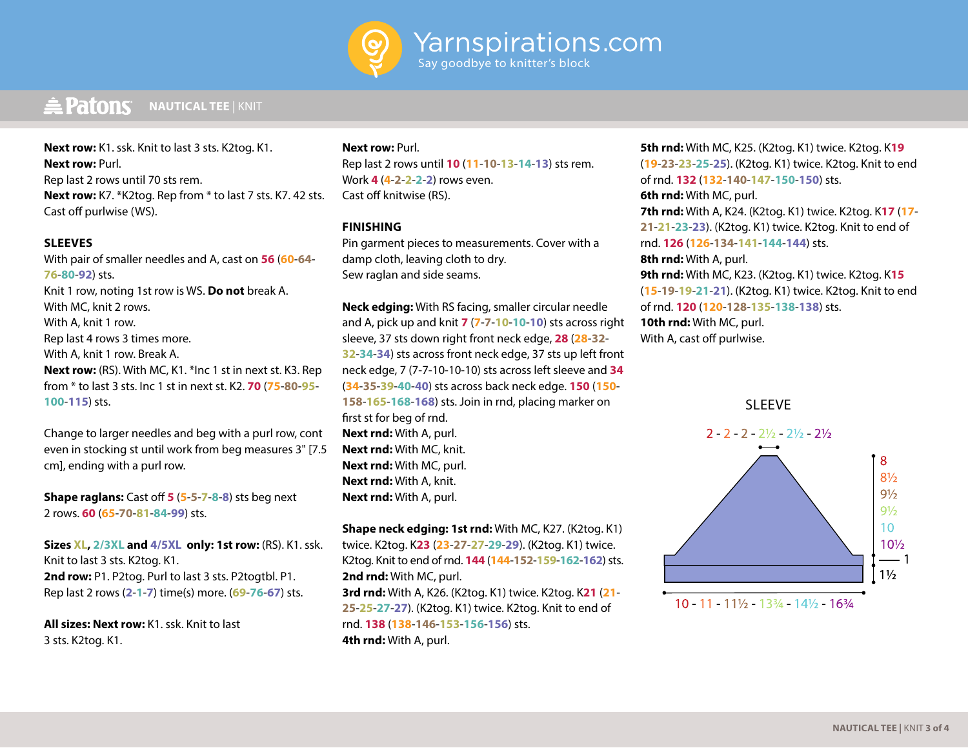

#### $\triangle$  Patons **NAUTICAL TEE** | KNIT

**Next row:** K1. ssk. Knit to last 3 sts. K2tog. K1. **Next row:** Purl. Rep last 2 rows until 70 sts rem. **Next row:** K7. \*K2tog. Rep from \* to last 7 sts. K7. 42 sts. Cast off purlwise (WS).

## **SLEEVES**

With pair of smaller needles and A, cast on **56** (**60**-**64**- **76**-**80**-**92**) sts. Knit 1 row, noting 1st row is WS. **Do not** break A. With MC, knit 2 rows. With A, knit 1 row. Rep last 4 rows 3 times more. With A, knit 1 row. Break A. **Next row:** (RS). With MC, K1. \*Inc 1 st in next st. K3. Rep from \* to last 3 sts. Inc 1 st in next st. K2. **70** (**75**-**80**-**95**- **100**-**115**) sts.

Change to larger needles and beg with a purl row, cont even in stocking st until work from beg measures 3" [7.5 cm], ending with a purl row.

**Shape raglans:** Cast off **5** (**5**-**5**-**7**-**8**-**8**) sts beg next 2 rows. **60** (**65**-**70**-**81**-**84**-**99**) sts.

**Sizes XL, 2/3XL and 4/5XL only: 1st row:** (RS). K1. ssk. Knit to last 3 sts. K2tog. K1. **2nd row:** P1. P2tog. Purl to last 3 sts. P2togtbl. P1. Rep last 2 rows (**2**-**1**-**7**) time(s) more. (**69**-**76**-**67**) sts.

**All sizes: Next row:** K1. ssk. Knit to last 3 sts. K2tog. K1.

### **Next row:** Purl.

Rep last 2 rows until **10** (**11**-**10**-**13**-**14**-**13**) sts rem. Work **4** (**4**-**2**-**2**-**2**-**2**) rows even. Cast off knitwise (RS).

## **FINISHING**

Pin garment pieces to measurements. Cover with a damp cloth, leaving cloth to dry. Sew raglan and side seams.

**Neck edging:** With RS facing, smaller circular needle and A, pick up and knit **7** (**7**-**7**-**10**-**10**-**10**) sts across right sleeve, 37 sts down right front neck edge, **28** (**28**-**32**- **32**-**34**-**34**) sts across front neck edge, 37 sts up left front neck edge, 7 (7-7-10-10-10) sts across left sleeve and **34** (**34**-**35**-**39**-**40**-**40**) sts across back neck edge. **150** (**150**- **158**-**165**-**168**-**168**) sts. Join in rnd, placing marker on first st for beg of rnd. **Next rnd:** With A, purl. **Next rnd:** With MC, knit. **Next rnd:** With MC, purl. **Next rnd:** With A, knit. **Next rnd:** With A, purl.

**Shape neck edging: 1st rnd:** With MC, K27. (K2tog. K1) twice. K2tog. K**23** (**23**-**27**-**27**-**29**-**29**). (K2tog. K1) twice. K2tog. Knit to end of rnd. **144** (**144**-**152**-**159**-**162**-**162**) sts. **2nd rnd:** With MC, purl. **3rd rnd:** With A, K26. (K2tog. K1) twice. K2tog. K**21** (**21**- **25**-**25**-**27**-**27**). (K2tog. K1) twice. K2tog. Knit to end of

rnd. **138** (**138**-**146**-**153**-**156**-**156**) sts. **4th rnd:** With A, purl.

**5th rnd:** With MC, K25. (K2tog. K1) twice. K2tog. K**19** (**19**-**23**-**23**-**25**-**25**). (K2tog. K1) twice. K2tog. Knit to end of rnd. **132** (**132**-**140**-**147**-**150**-**150**) sts. **6th rnd:** With MC, purl. **7th rnd:** With A, K24. (K2tog. K1) twice. K2tog. K**17** (**17**- **21**-**21**-**23**-**23**). (K2tog. K1) twice. K2tog. Knit to end of rnd. **126** (**126**-**134**-**141**-**144**-**144**) sts. **8th rnd:** With A, purl. **9th rnd:** With MC, K23. (K2tog. K1) twice. K2tog. K**15** (**15**-**19**-**19**-**21**-**21**). (K2tog. K1) twice. K2tog. Knit to end of rnd. **120** (**120**-**128**-**135**-**138**-**138**) sts.

**10th rnd:** With MC, purl.

With A, cast off purlwise.